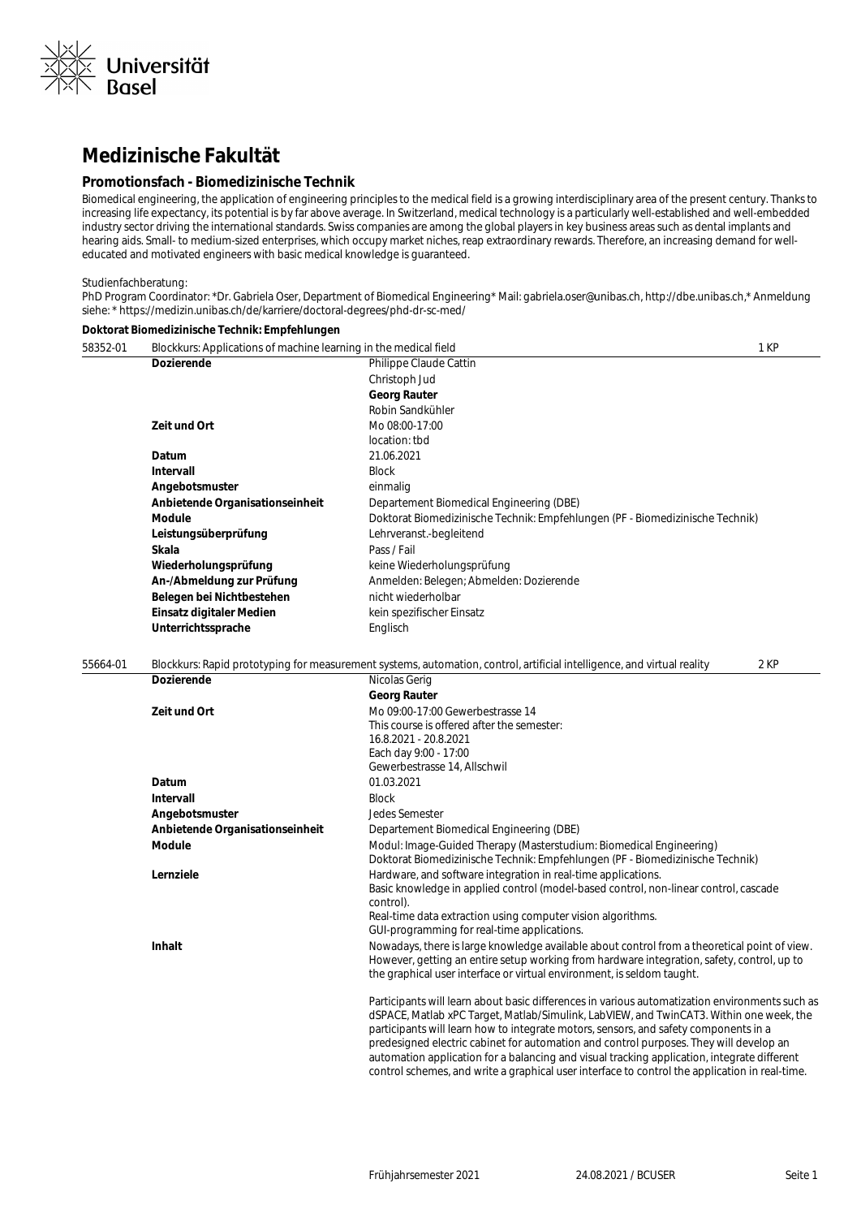

# **Medizinische Fakultät**

### **Promotionsfach - Biomedizinische Technik**

Biomedical engineering, the application of engineering principles to the medical field is a growing interdisciplinary area of the present century. Thanks to increasing life expectancy, its potential is by far above average. In Switzerland, medical technology is a particularly well-established and well-embedded industry sector driving the international standards. Swiss companies are among the global players in key business areas such as dental implants and hearing aids. Small- to medium-sized enterprises, which occupy market niches, reap extraordinary rewards. Therefore, an increasing demand for welleducated and motivated engineers with basic medical knowledge is guaranteed.

#### Studienfachberatung:

PhD Program Coordinator: \*Dr. Gabriela Oser, Department of Biomedical Engineering\* Mail: gabriela.oser@unibas.ch, http://dbe.unibas.ch,\* Anmeldung siehe: \* https://medizin.unibas.ch/de/karriere/doctoral-degrees/phd-dr-sc-med/

#### **Doktorat Biomedizinische Technik: Empfehlungen**

| 58352-01 | Blockkurs: Applications of machine learning in the medical field |                                                                                                                                                      | 1 KP |
|----------|------------------------------------------------------------------|------------------------------------------------------------------------------------------------------------------------------------------------------|------|
|          | <b>Dozierende</b>                                                | Philippe Claude Cattin                                                                                                                               |      |
|          |                                                                  | Christoph Jud                                                                                                                                        |      |
|          |                                                                  | <b>Georg Rauter</b>                                                                                                                                  |      |
|          |                                                                  | Robin Sandkühler                                                                                                                                     |      |
|          | Zeit und Ort                                                     | Mo 08:00-17:00                                                                                                                                       |      |
|          |                                                                  | location: tbd                                                                                                                                        |      |
|          | Datum                                                            | 21.06.2021                                                                                                                                           |      |
|          | <b>Intervall</b>                                                 | <b>Block</b>                                                                                                                                         |      |
|          | Angebotsmuster                                                   | einmalig                                                                                                                                             |      |
|          | Anbietende Organisationseinheit                                  | Departement Biomedical Engineering (DBE)                                                                                                             |      |
|          | Module                                                           | Doktorat Biomedizinische Technik: Empfehlungen (PF - Biomedizinische Technik)                                                                        |      |
|          | Leistungsüberprüfung                                             | Lehrveranst.-begleitend                                                                                                                              |      |
|          | Skala                                                            | Pass / Fail                                                                                                                                          |      |
|          | Wiederholungsprüfung                                             | keine Wiederholungsprüfung                                                                                                                           |      |
|          | An-/Abmeldung zur Prüfung                                        | Anmelden: Belegen; Abmelden: Dozierende                                                                                                              |      |
|          | Belegen bei Nichtbestehen                                        | nicht wiederholbar                                                                                                                                   |      |
|          | Einsatz digitaler Medien                                         | kein spezifischer Einsatz                                                                                                                            |      |
|          | Unterrichtssprache                                               | Englisch                                                                                                                                             |      |
|          |                                                                  |                                                                                                                                                      |      |
| 55664-01 |                                                                  | Blockkurs: Rapid prototyping for measurement systems, automation, control, artificial intelligence, and virtual reality                              | 2 KP |
|          | <b>Dozierende</b>                                                | Nicolas Gerig                                                                                                                                        |      |
|          |                                                                  | <b>Georg Rauter</b>                                                                                                                                  |      |
|          | Zeit und Ort                                                     | Mo 09:00-17:00 Gewerbestrasse 14                                                                                                                     |      |
|          |                                                                  | This course is offered after the semester:                                                                                                           |      |
|          |                                                                  | 16.8.2021 - 20.8.2021                                                                                                                                |      |
|          |                                                                  | Each day 9:00 - 17:00                                                                                                                                |      |
|          |                                                                  | Gewerbestrasse 14, Allschwil                                                                                                                         |      |
|          | Datum                                                            | 01.03.2021                                                                                                                                           |      |
|          | Intervall                                                        | <b>Block</b>                                                                                                                                         |      |
|          | Angebotsmuster                                                   | Jedes Semester                                                                                                                                       |      |
|          | Anbietende Organisationseinheit                                  | Departement Biomedical Engineering (DBE)                                                                                                             |      |
|          | Module                                                           | Modul: Image-Guided Therapy (Masterstudium: Biomedical Engineering)<br>Doktorat Biomedizinische Technik: Empfehlungen (PF - Biomedizinische Technik) |      |
|          | Lernziele                                                        | Hardware, and software integration in real-time applications.                                                                                        |      |
|          |                                                                  | Basic knowledge in applied control (model-based control, non-linear control, cascade                                                                 |      |
|          |                                                                  | control).                                                                                                                                            |      |
|          |                                                                  | Real-time data extraction using computer vision algorithms.<br>GUI-programming for real-time applications.                                           |      |
|          | <b>Inhalt</b>                                                    | Nowadays, there is large knowledge available about control from a theoretical point of view.                                                         |      |
|          |                                                                  | However, getting an entire setup working from hardware integration, safety, control, up to                                                           |      |
|          |                                                                  | the graphical user interface or virtual environment, is seldom taught.                                                                               |      |
|          |                                                                  | Participants will learn about basic differences in various automatization environments such as                                                       |      |
|          |                                                                  | dSPACE, Matlab xPC Target, Matlab/Simulink, LabVIEW, and TwinCAT3. Within one week, the                                                              |      |
|          |                                                                  | participants will learn how to integrate motors, sensors, and safety components in a                                                                 |      |
|          |                                                                  | predesigned electric cabinet for automation and control purposes. They will develop an                                                               |      |
|          |                                                                  | automation application for a balancing and visual tracking application, integrate different                                                          |      |
|          |                                                                  | control schemes, and write a graphical user interface to control the application in real-time.                                                       |      |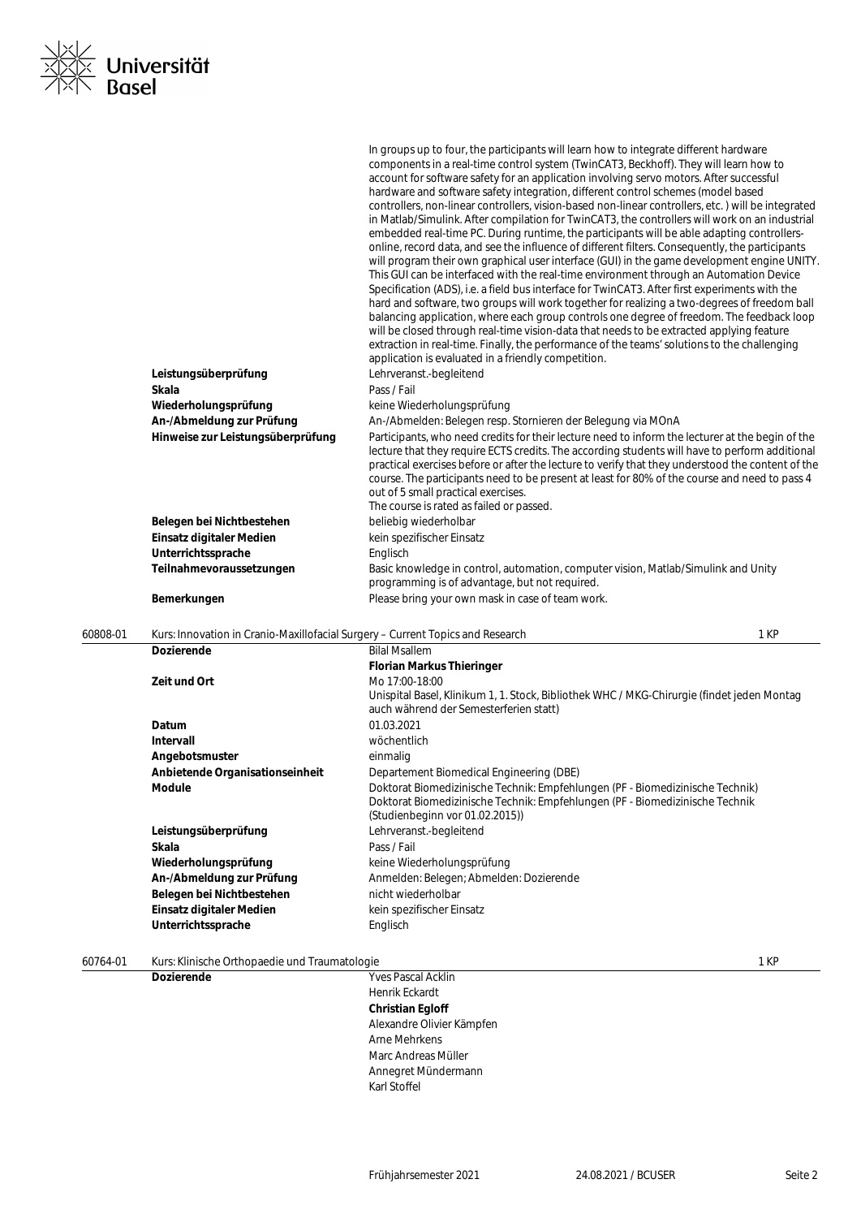| Seite: |  |
|--------|--|
|        |  |

|          |                                                                                        | In groups up to four, the participants will learn how to integrate different hardware<br>components in a real-time control system (TwinCAT3, Beckhoff). They will learn how to<br>account for software safety for an application involving servo motors. After successful<br>hardware and software safety integration, different control schemes (model based<br>controllers, non-linear controllers, vision-based non-linear controllers, etc.) will be integrated<br>in Matlab/Simulink. After compilation for TwinCAT3, the controllers will work on an industrial<br>embedded real-time PC. During runtime, the participants will be able adapting controllers-<br>online, record data, and see the influence of different filters. Consequently, the participants<br>will program their own graphical user interface (GUI) in the game development engine UNITY.<br>This GUI can be interfaced with the real-time environment through an Automation Device<br>Specification (ADS), i.e. a field bus interface for TwinCAT3. After first experiments with the<br>hard and software, two groups will work together for realizing a two-degrees of freedom ball<br>balancing application, where each group controls one degree of freedom. The feedback loop<br>will be closed through real-time vision-data that needs to be extracted applying feature<br>extraction in real-time. Finally, the performance of the teams' solutions to the challenging<br>application is evaluated in a friendly competition. |      |
|----------|----------------------------------------------------------------------------------------|-------------------------------------------------------------------------------------------------------------------------------------------------------------------------------------------------------------------------------------------------------------------------------------------------------------------------------------------------------------------------------------------------------------------------------------------------------------------------------------------------------------------------------------------------------------------------------------------------------------------------------------------------------------------------------------------------------------------------------------------------------------------------------------------------------------------------------------------------------------------------------------------------------------------------------------------------------------------------------------------------------------------------------------------------------------------------------------------------------------------------------------------------------------------------------------------------------------------------------------------------------------------------------------------------------------------------------------------------------------------------------------------------------------------------------------------------------------------------------------------------------------------|------|
|          | Leistungsüberprüfung                                                                   | Lehrveranst.-begleitend                                                                                                                                                                                                                                                                                                                                                                                                                                                                                                                                                                                                                                                                                                                                                                                                                                                                                                                                                                                                                                                                                                                                                                                                                                                                                                                                                                                                                                                                                           |      |
|          | Skala                                                                                  | Pass / Fail                                                                                                                                                                                                                                                                                                                                                                                                                                                                                                                                                                                                                                                                                                                                                                                                                                                                                                                                                                                                                                                                                                                                                                                                                                                                                                                                                                                                                                                                                                       |      |
|          | Wiederholungsprüfung                                                                   | keine Wiederholungsprüfung                                                                                                                                                                                                                                                                                                                                                                                                                                                                                                                                                                                                                                                                                                                                                                                                                                                                                                                                                                                                                                                                                                                                                                                                                                                                                                                                                                                                                                                                                        |      |
|          | An-/Abmeldung zur Prüfung                                                              | An-/Abmelden: Belegen resp. Stornieren der Belegung via MOnA                                                                                                                                                                                                                                                                                                                                                                                                                                                                                                                                                                                                                                                                                                                                                                                                                                                                                                                                                                                                                                                                                                                                                                                                                                                                                                                                                                                                                                                      |      |
|          | Hinweise zur Leistungsüberprüfung                                                      | Participants, who need credits for their lecture need to inform the lecturer at the begin of the<br>lecture that they require ECTS credits. The according students will have to perform additional<br>practical exercises before or after the lecture to verify that they understood the content of the<br>course. The participants need to be present at least for 80% of the course and need to pass 4<br>out of 5 small practical exercises.<br>The course is rated as failed or passed.                                                                                                                                                                                                                                                                                                                                                                                                                                                                                                                                                                                                                                                                                                                                                                                                                                                                                                                                                                                                                       |      |
|          | Belegen bei Nichtbestehen                                                              | beliebig wiederholbar                                                                                                                                                                                                                                                                                                                                                                                                                                                                                                                                                                                                                                                                                                                                                                                                                                                                                                                                                                                                                                                                                                                                                                                                                                                                                                                                                                                                                                                                                             |      |
|          | Einsatz digitaler Medien                                                               | kein spezifischer Einsatz                                                                                                                                                                                                                                                                                                                                                                                                                                                                                                                                                                                                                                                                                                                                                                                                                                                                                                                                                                                                                                                                                                                                                                                                                                                                                                                                                                                                                                                                                         |      |
|          | Unterrichtssprache                                                                     | Englisch                                                                                                                                                                                                                                                                                                                                                                                                                                                                                                                                                                                                                                                                                                                                                                                                                                                                                                                                                                                                                                                                                                                                                                                                                                                                                                                                                                                                                                                                                                          |      |
|          | Teilnahmevoraussetzungen                                                               | Basic knowledge in control, automation, computer vision, Matlab/Simulink and Unity<br>programming is of advantage, but not required.                                                                                                                                                                                                                                                                                                                                                                                                                                                                                                                                                                                                                                                                                                                                                                                                                                                                                                                                                                                                                                                                                                                                                                                                                                                                                                                                                                              |      |
|          | Bemerkungen                                                                            | Please bring your own mask in case of team work.                                                                                                                                                                                                                                                                                                                                                                                                                                                                                                                                                                                                                                                                                                                                                                                                                                                                                                                                                                                                                                                                                                                                                                                                                                                                                                                                                                                                                                                                  |      |
| 60808-01 | 1 KP<br>Kurs: Innovation in Cranio-Maxillofacial Surgery - Current Topics and Research |                                                                                                                                                                                                                                                                                                                                                                                                                                                                                                                                                                                                                                                                                                                                                                                                                                                                                                                                                                                                                                                                                                                                                                                                                                                                                                                                                                                                                                                                                                                   |      |
|          | <b>Dozierende</b>                                                                      | <b>Bilal Msallem</b>                                                                                                                                                                                                                                                                                                                                                                                                                                                                                                                                                                                                                                                                                                                                                                                                                                                                                                                                                                                                                                                                                                                                                                                                                                                                                                                                                                                                                                                                                              |      |
|          | Zeit und Ort                                                                           | <b>Florian Markus Thieringer</b><br>Mo 17:00-18:00<br>Unispital Basel, Klinikum 1, 1. Stock, Bibliothek WHC / MKG-Chirurgie (findet jeden Montag<br>auch während der Semesterferien statt)                                                                                                                                                                                                                                                                                                                                                                                                                                                                                                                                                                                                                                                                                                                                                                                                                                                                                                                                                                                                                                                                                                                                                                                                                                                                                                                        |      |
|          | Datum                                                                                  | 01.03.2021                                                                                                                                                                                                                                                                                                                                                                                                                                                                                                                                                                                                                                                                                                                                                                                                                                                                                                                                                                                                                                                                                                                                                                                                                                                                                                                                                                                                                                                                                                        |      |
|          | Intervall                                                                              | wöchentlich                                                                                                                                                                                                                                                                                                                                                                                                                                                                                                                                                                                                                                                                                                                                                                                                                                                                                                                                                                                                                                                                                                                                                                                                                                                                                                                                                                                                                                                                                                       |      |
|          | Angebotsmuster                                                                         | einmalig                                                                                                                                                                                                                                                                                                                                                                                                                                                                                                                                                                                                                                                                                                                                                                                                                                                                                                                                                                                                                                                                                                                                                                                                                                                                                                                                                                                                                                                                                                          |      |
|          | Anbietende Organisationseinheit<br>Module                                              | Departement Biomedical Engineering (DBE)<br>Doktorat Biomedizinische Technik: Empfehlungen (PF - Biomedizinische Technik)<br>Doktorat Biomedizinische Technik: Empfehlungen (PF - Biomedizinische Technik<br>(Studienbeginn vor 01.02.2015))                                                                                                                                                                                                                                                                                                                                                                                                                                                                                                                                                                                                                                                                                                                                                                                                                                                                                                                                                                                                                                                                                                                                                                                                                                                                      |      |
|          | Leistungsüberprüfung                                                                   | Lehrveranst.-begleitend                                                                                                                                                                                                                                                                                                                                                                                                                                                                                                                                                                                                                                                                                                                                                                                                                                                                                                                                                                                                                                                                                                                                                                                                                                                                                                                                                                                                                                                                                           |      |
|          | Skala                                                                                  | Pass / Fail                                                                                                                                                                                                                                                                                                                                                                                                                                                                                                                                                                                                                                                                                                                                                                                                                                                                                                                                                                                                                                                                                                                                                                                                                                                                                                                                                                                                                                                                                                       |      |
|          | Wiederholungsprüfung                                                                   | keine Wiederholungsprüfung                                                                                                                                                                                                                                                                                                                                                                                                                                                                                                                                                                                                                                                                                                                                                                                                                                                                                                                                                                                                                                                                                                                                                                                                                                                                                                                                                                                                                                                                                        |      |
|          | An-/Abmeldung zur Prüfung                                                              | Anmelden: Belegen; Abmelden: Dozierende                                                                                                                                                                                                                                                                                                                                                                                                                                                                                                                                                                                                                                                                                                                                                                                                                                                                                                                                                                                                                                                                                                                                                                                                                                                                                                                                                                                                                                                                           |      |
|          | Belegen bei Nichtbestehen                                                              | nicht wiederholbar                                                                                                                                                                                                                                                                                                                                                                                                                                                                                                                                                                                                                                                                                                                                                                                                                                                                                                                                                                                                                                                                                                                                                                                                                                                                                                                                                                                                                                                                                                |      |
|          | Einsatz digitaler Medien<br>Unterrichtssprache                                         | kein spezifischer Einsatz<br>Englisch                                                                                                                                                                                                                                                                                                                                                                                                                                                                                                                                                                                                                                                                                                                                                                                                                                                                                                                                                                                                                                                                                                                                                                                                                                                                                                                                                                                                                                                                             |      |
| 60764-01 | Kurs: Klinische Orthopaedie und Traumatologie                                          |                                                                                                                                                                                                                                                                                                                                                                                                                                                                                                                                                                                                                                                                                                                                                                                                                                                                                                                                                                                                                                                                                                                                                                                                                                                                                                                                                                                                                                                                                                                   | 1 KP |

**Dozierende** Yves Pascal Acklin

Henrik Eckardt **Christian Egloff** Alexandre Olivier Kämpfen Arne Mehrkens Marc Andreas Müller Annegret Mündermann Karl Stoffel

Universität<br>Basel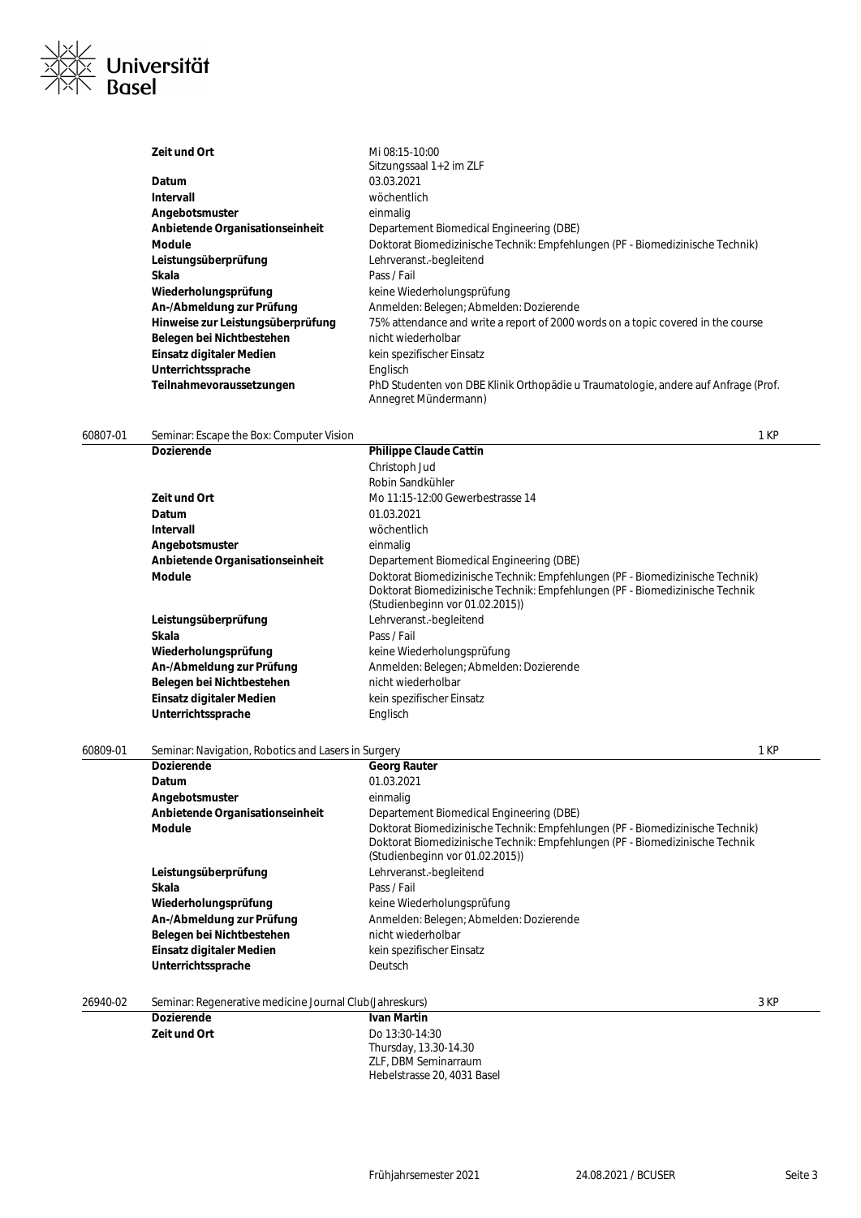

| Zeit und Ort                      | Mi 08:15-10:00                                                                                             |
|-----------------------------------|------------------------------------------------------------------------------------------------------------|
|                                   | Sitzungssaal 1+2 im ZLF                                                                                    |
| Datum                             | 03.03.2021                                                                                                 |
| Intervall                         | wöchentlich                                                                                                |
| Angebotsmuster                    | einmalig                                                                                                   |
| Anbietende Organisationseinheit   | Departement Biomedical Engineering (DBE)                                                                   |
| <b>Module</b>                     | Doktorat Biomedizinische Technik: Empfehlungen (PF - Biomedizinische Technik)                              |
| Leistungsüberprüfung              | Lehrveranst.-begleitend                                                                                    |
| Skala                             | Pass / Fail                                                                                                |
| Wiederholungsprüfung              | keine Wiederholungsprüfung                                                                                 |
| An-/Abmeldung zur Prüfung         | Anmelden: Belegen; Abmelden: Dozierende                                                                    |
| Hinweise zur Leistungsüberprüfung | 75% attendance and write a report of 2000 words on a topic covered in the course                           |
| Belegen bei Nichtbestehen         | nicht wiederholbar                                                                                         |
| Einsatz digitaler Medien          | kein spezifischer Einsatz                                                                                  |
| Unterrichtssprache                | Englisch                                                                                                   |
| Teilnahmevoraussetzungen          | PhD Studenten von DBE Klinik Orthopädie u Traumatologie, andere auf Anfrage (Prof.<br>Annegret Mündermann) |

60807-01 Seminar: Escape the Box: Computer Vision 1 KP

| <b>Dozierende</b>               | <b>Philippe Claude Cattin</b>                                                 |
|---------------------------------|-------------------------------------------------------------------------------|
|                                 | Christoph Jud                                                                 |
|                                 | Robin Sandkühler                                                              |
| Zeit und Ort                    | Mo 11:15-12:00 Gewerbestrasse 14                                              |
| Datum                           | 01.03.2021                                                                    |
| Intervall                       | wöchentlich                                                                   |
| Angebotsmuster                  | einmalig                                                                      |
| Anbietende Organisationseinheit | Departement Biomedical Engineering (DBE)                                      |
| <b>Module</b>                   | Doktorat Biomedizinische Technik: Empfehlungen (PF - Biomedizinische Technik) |
|                                 | Doktorat Biomedizinische Technik: Empfehlungen (PF - Biomedizinische Technik  |
|                                 | (Studienbeginn vor 01.02.2015))                                               |
| Leistungsüberprüfung            | Lehrveranst.-begleitend                                                       |
| Skala                           | Pass / Fail                                                                   |
| Wiederholungsprüfung            | keine Wiederholungsprüfung                                                    |
| An-/Abmeldung zur Prüfung       | Anmelden: Belegen; Abmelden: Dozierende                                       |
| Belegen bei Nichtbestehen       | nicht wiederholbar                                                            |
| Einsatz digitaler Medien        | kein spezifischer Einsatz                                                     |
| Unterrichtssprache              | Englisch                                                                      |

## 60809-01 Seminar: Navigation, Robotics and Lasers in Surgery 1 KP

| <b>Dozierende</b>               | <b>Georg Rauter</b>                                                                                                                                                                              |
|---------------------------------|--------------------------------------------------------------------------------------------------------------------------------------------------------------------------------------------------|
| Datum                           | 01.03.2021                                                                                                                                                                                       |
| Angebotsmuster                  | einmalig                                                                                                                                                                                         |
| Anbietende Organisationseinheit | Departement Biomedical Engineering (DBE)                                                                                                                                                         |
| Module                          | Doktorat Biomedizinische Technik: Empfehlungen (PF - Biomedizinische Technik)<br>Doktorat Biomedizinische Technik: Empfehlungen (PF - Biomedizinische Technik<br>(Studienbeginn vor 01.02.2015)) |
| Leistungsüberprüfung            | Lehrveranst.-begleitend                                                                                                                                                                          |
| Skala                           | Pass / Fail                                                                                                                                                                                      |
| Wiederholungsprüfung            | keine Wiederholungsprüfung                                                                                                                                                                       |
| An-/Abmeldung zur Prüfung       | Anmelden: Belegen; Abmelden: Dozierende                                                                                                                                                          |
| Belegen bei Nichtbestehen       | nicht wiederholbar                                                                                                                                                                               |
| Einsatz digitaler Medien        | kein spezifischer Einsatz                                                                                                                                                                        |
| Unterrichtssprache              | Deutsch                                                                                                                                                                                          |
|                                 |                                                                                                                                                                                                  |

26940-02 Seminar: Regenerative medicine Journal Club(Jahreskurs) 3 KP

**Ivan Martin Zeit und Ort** Do 13:30-14:30 Thursday, 13.30-14.30 ZLF, DBM Seminarraum Hebelstrasse 20, 4031 Basel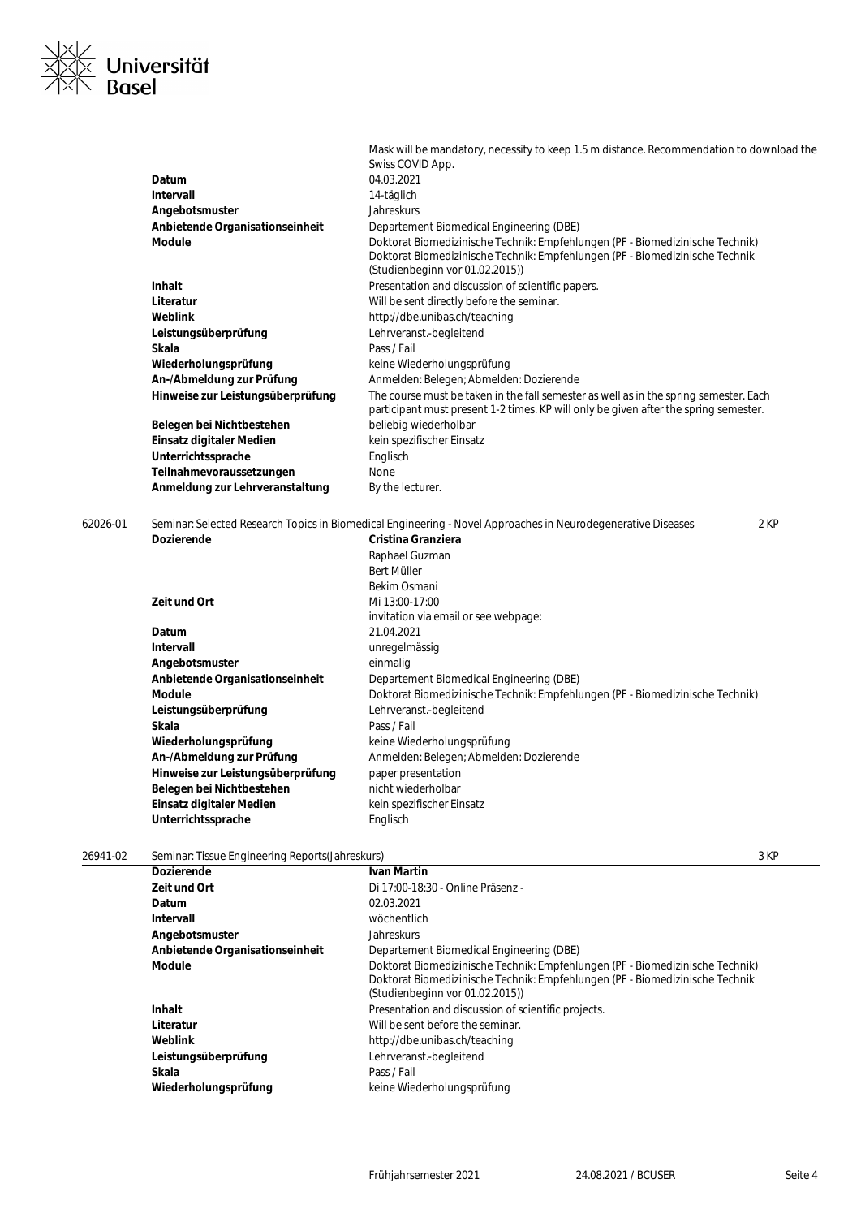# ≪ Universität<br>≦ Basel  $\overline{y}$

| Mask will be mandatory, necessity to keep 1.5 m distance. Recommendation to download the                                                                                                         |
|--------------------------------------------------------------------------------------------------------------------------------------------------------------------------------------------------|
| Swiss COVID App.                                                                                                                                                                                 |
| 04.03.2021                                                                                                                                                                                       |
| 14-täglich                                                                                                                                                                                       |
| <b>Jahreskurs</b>                                                                                                                                                                                |
| Departement Biomedical Engineering (DBE)                                                                                                                                                         |
| Doktorat Biomedizinische Technik: Empfehlungen (PF - Biomedizinische Technik)<br>Doktorat Biomedizinische Technik: Empfehlungen (PF - Biomedizinische Technik<br>(Studienbeginn vor 01.02.2015)) |
| Presentation and discussion of scientific papers.                                                                                                                                                |
| Will be sent directly before the seminar.                                                                                                                                                        |
| http://dbe.unibas.ch/teaching                                                                                                                                                                    |
| Lehrveranst.-begleitend                                                                                                                                                                          |
| Pass / Fail                                                                                                                                                                                      |
| keine Wiederholungsprüfung                                                                                                                                                                       |
| Anmelden: Belegen; Abmelden: Dozierende                                                                                                                                                          |
| The course must be taken in the fall semester as well as in the spring semester. Each<br>participant must present 1-2 times. KP will only be given after the spring semester.                    |
| beliebig wiederholbar                                                                                                                                                                            |
| kein spezifischer Einsatz                                                                                                                                                                        |
| Englisch                                                                                                                                                                                         |
| <b>None</b>                                                                                                                                                                                      |
| By the lecturer.                                                                                                                                                                                 |
|                                                                                                                                                                                                  |

| 62026-01 |                                   | Seminar: Selected Research Topics in Biomedical Engineering - Novel Approaches in Neurodegenerative Diseases | 2 KP |
|----------|-----------------------------------|--------------------------------------------------------------------------------------------------------------|------|
|          | <b>Dozierende</b>                 | Cristina Granziera                                                                                           |      |
|          |                                   | Raphael Guzman                                                                                               |      |
|          |                                   | Bert Müller                                                                                                  |      |
|          |                                   | Bekim Osmani                                                                                                 |      |
|          | Zeit und Ort                      | Mi 13:00-17:00                                                                                               |      |
|          |                                   | invitation via email or see webpage:                                                                         |      |
|          | Datum                             | 21.04.2021                                                                                                   |      |
|          | <b>Intervall</b>                  | unregelmässig                                                                                                |      |
|          | Angebotsmuster                    | einmalig                                                                                                     |      |
|          | Anbietende Organisationseinheit   | Departement Biomedical Engineering (DBE)                                                                     |      |
|          | <b>Module</b>                     | Doktorat Biomedizinische Technik: Empfehlungen (PF - Biomedizinische Technik)                                |      |
|          | Leistungsüberprüfung              | Lehrveranst.-begleitend                                                                                      |      |
|          | Skala                             | Pass / Fail                                                                                                  |      |
|          | Wiederholungsprüfung              | keine Wiederholungsprüfung                                                                                   |      |
|          | An-/Abmeldung zur Prüfung         | Anmelden: Belegen; Abmelden: Dozierende                                                                      |      |
|          | Hinweise zur Leistungsüberprüfung | paper presentation                                                                                           |      |
|          | Belegen bei Nichtbestehen         | nicht wiederholbar                                                                                           |      |
|          | Einsatz digitaler Medien          | kein spezifischer Einsatz                                                                                    |      |
|          | Unterrichtssprache                | Englisch                                                                                                     |      |
|          |                                   |                                                                                                              |      |

26941-02 Seminar: Tissue Engineering Reports(Jahreskurs) 3 KP

| <b>Dozierende</b>               | <b>Ivan Martin</b>                                                                                                                                                                               |
|---------------------------------|--------------------------------------------------------------------------------------------------------------------------------------------------------------------------------------------------|
| Zeit und Ort                    | Di 17:00-18:30 - Online Präsenz -                                                                                                                                                                |
| Datum                           | 02.03.2021                                                                                                                                                                                       |
| Intervall                       | wöchentlich                                                                                                                                                                                      |
| Angebotsmuster                  | <b>Jahreskurs</b>                                                                                                                                                                                |
| Anbietende Organisationseinheit | Departement Biomedical Engineering (DBE)                                                                                                                                                         |
| Module                          | Doktorat Biomedizinische Technik: Empfehlungen (PF - Biomedizinische Technik)<br>Doktorat Biomedizinische Technik: Empfehlungen (PF - Biomedizinische Technik<br>(Studienbeginn vor 01.02.2015)) |
| Inhalt                          | Presentation and discussion of scientific projects.                                                                                                                                              |
| Literatur                       | Will be sent before the seminar.                                                                                                                                                                 |
| Weblink                         | http://dbe.unibas.ch/teaching                                                                                                                                                                    |
| Leistungsüberprüfung            | Lehrveranst.-begleitend                                                                                                                                                                          |
| Skala                           | Pass / Fail                                                                                                                                                                                      |
| Wiederholungsprüfung            | keine Wiederholungsprüfung                                                                                                                                                                       |
|                                 |                                                                                                                                                                                                  |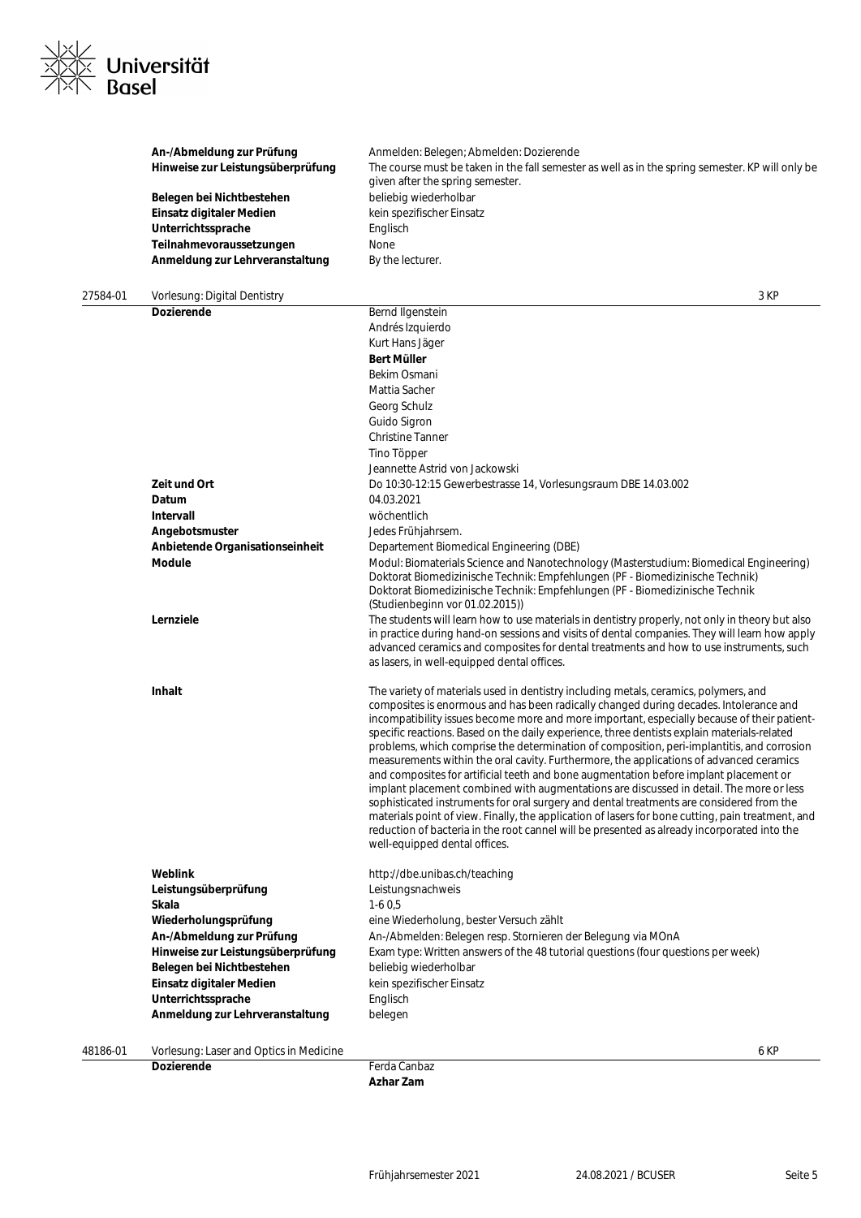

|          | An-/Abmeldung zur Prüfung<br>Hinweise zur Leistungsüberprüfung<br>Belegen bei Nichtbestehen<br>Einsatz digitaler Medien<br>Unterrichtssprache<br>Teilnahmevoraussetzungen | Anmelden: Belegen; Abmelden: Dozierende<br>The course must be taken in the fall semester as well as in the spring semester. KP will only be<br>given after the spring semester.<br>beliebig wiederholbar<br>kein spezifischer Einsatz<br>Englisch<br>None                                                                                                                                                                                                                                                                                                                                                                                                                                                                                                                                                                                                                                                                                                                                                                                                                                 |
|----------|---------------------------------------------------------------------------------------------------------------------------------------------------------------------------|-------------------------------------------------------------------------------------------------------------------------------------------------------------------------------------------------------------------------------------------------------------------------------------------------------------------------------------------------------------------------------------------------------------------------------------------------------------------------------------------------------------------------------------------------------------------------------------------------------------------------------------------------------------------------------------------------------------------------------------------------------------------------------------------------------------------------------------------------------------------------------------------------------------------------------------------------------------------------------------------------------------------------------------------------------------------------------------------|
|          | Anmeldung zur Lehrveranstaltung                                                                                                                                           | By the lecturer.                                                                                                                                                                                                                                                                                                                                                                                                                                                                                                                                                                                                                                                                                                                                                                                                                                                                                                                                                                                                                                                                          |
| 27584-01 | Vorlesung: Digital Dentistry                                                                                                                                              | 3 KP                                                                                                                                                                                                                                                                                                                                                                                                                                                                                                                                                                                                                                                                                                                                                                                                                                                                                                                                                                                                                                                                                      |
|          | <b>Dozierende</b>                                                                                                                                                         | Bernd Ilgenstein                                                                                                                                                                                                                                                                                                                                                                                                                                                                                                                                                                                                                                                                                                                                                                                                                                                                                                                                                                                                                                                                          |
|          |                                                                                                                                                                           | Andrés Izquierdo                                                                                                                                                                                                                                                                                                                                                                                                                                                                                                                                                                                                                                                                                                                                                                                                                                                                                                                                                                                                                                                                          |
|          |                                                                                                                                                                           | Kurt Hans Jäger                                                                                                                                                                                                                                                                                                                                                                                                                                                                                                                                                                                                                                                                                                                                                                                                                                                                                                                                                                                                                                                                           |
|          |                                                                                                                                                                           | Bert Müller                                                                                                                                                                                                                                                                                                                                                                                                                                                                                                                                                                                                                                                                                                                                                                                                                                                                                                                                                                                                                                                                               |
|          |                                                                                                                                                                           | Bekim Osmani                                                                                                                                                                                                                                                                                                                                                                                                                                                                                                                                                                                                                                                                                                                                                                                                                                                                                                                                                                                                                                                                              |
|          |                                                                                                                                                                           | Mattia Sacher                                                                                                                                                                                                                                                                                                                                                                                                                                                                                                                                                                                                                                                                                                                                                                                                                                                                                                                                                                                                                                                                             |
|          |                                                                                                                                                                           | Georg Schulz                                                                                                                                                                                                                                                                                                                                                                                                                                                                                                                                                                                                                                                                                                                                                                                                                                                                                                                                                                                                                                                                              |
|          |                                                                                                                                                                           | Guido Sigron                                                                                                                                                                                                                                                                                                                                                                                                                                                                                                                                                                                                                                                                                                                                                                                                                                                                                                                                                                                                                                                                              |
|          |                                                                                                                                                                           | <b>Christine Tanner</b>                                                                                                                                                                                                                                                                                                                                                                                                                                                                                                                                                                                                                                                                                                                                                                                                                                                                                                                                                                                                                                                                   |
|          |                                                                                                                                                                           | Tino Töpper                                                                                                                                                                                                                                                                                                                                                                                                                                                                                                                                                                                                                                                                                                                                                                                                                                                                                                                                                                                                                                                                               |
|          |                                                                                                                                                                           | Jeannette Astrid von Jackowski                                                                                                                                                                                                                                                                                                                                                                                                                                                                                                                                                                                                                                                                                                                                                                                                                                                                                                                                                                                                                                                            |
|          | Zeit und Ort                                                                                                                                                              | Do 10:30-12:15 Gewerbestrasse 14, Vorlesungsraum DBE 14.03.002                                                                                                                                                                                                                                                                                                                                                                                                                                                                                                                                                                                                                                                                                                                                                                                                                                                                                                                                                                                                                            |
|          | Datum                                                                                                                                                                     | 04.03.2021                                                                                                                                                                                                                                                                                                                                                                                                                                                                                                                                                                                                                                                                                                                                                                                                                                                                                                                                                                                                                                                                                |
|          | Intervall                                                                                                                                                                 | wöchentlich                                                                                                                                                                                                                                                                                                                                                                                                                                                                                                                                                                                                                                                                                                                                                                                                                                                                                                                                                                                                                                                                               |
|          | Angebotsmuster                                                                                                                                                            | Jedes Frühjahrsem.                                                                                                                                                                                                                                                                                                                                                                                                                                                                                                                                                                                                                                                                                                                                                                                                                                                                                                                                                                                                                                                                        |
|          | Anbietende Organisationseinheit                                                                                                                                           | Departement Biomedical Engineering (DBE)                                                                                                                                                                                                                                                                                                                                                                                                                                                                                                                                                                                                                                                                                                                                                                                                                                                                                                                                                                                                                                                  |
|          | <b>Module</b>                                                                                                                                                             | Modul: Biomaterials Science and Nanotechnology (Masterstudium: Biomedical Engineering)<br>Doktorat Biomedizinische Technik: Empfehlungen (PF - Biomedizinische Technik)<br>Doktorat Biomedizinische Technik: Empfehlungen (PF - Biomedizinische Technik<br>(Studienbeginn vor 01.02.2015))                                                                                                                                                                                                                                                                                                                                                                                                                                                                                                                                                                                                                                                                                                                                                                                                |
|          | Lernziele                                                                                                                                                                 | The students will learn how to use materials in dentistry properly, not only in theory but also<br>in practice during hand-on sessions and visits of dental companies. They will learn how apply<br>advanced ceramics and composites for dental treatments and how to use instruments, such<br>as lasers, in well-equipped dental offices.                                                                                                                                                                                                                                                                                                                                                                                                                                                                                                                                                                                                                                                                                                                                                |
|          | Inhalt                                                                                                                                                                    | The variety of materials used in dentistry including metals, ceramics, polymers, and<br>composites is enormous and has been radically changed during decades. Intolerance and<br>incompatibility issues become more and more important, especially because of their patient-<br>specific reactions. Based on the daily experience, three dentists explain materials-related<br>problems, which comprise the determination of composition, peri-implantitis, and corrosion<br>measurements within the oral cavity. Furthermore, the applications of advanced ceramics<br>and composites for artificial teeth and bone augmentation before implant placement or<br>implant placement combined with augmentations are discussed in detail. The more or less<br>sophisticated instruments for oral surgery and dental treatments are considered from the<br>materials point of view. Finally, the application of lasers for bone cutting, pain treatment, and<br>reduction of bacteria in the root cannel will be presented as already incorporated into the<br>well-equipped dental offices. |
|          | Weblink                                                                                                                                                                   | http://dbe.unibas.ch/teaching                                                                                                                                                                                                                                                                                                                                                                                                                                                                                                                                                                                                                                                                                                                                                                                                                                                                                                                                                                                                                                                             |
|          | Leistungsüberprüfung                                                                                                                                                      | Leistungsnachweis                                                                                                                                                                                                                                                                                                                                                                                                                                                                                                                                                                                                                                                                                                                                                                                                                                                                                                                                                                                                                                                                         |
|          | Skala                                                                                                                                                                     | $1-60,5$                                                                                                                                                                                                                                                                                                                                                                                                                                                                                                                                                                                                                                                                                                                                                                                                                                                                                                                                                                                                                                                                                  |
|          | Wiederholungsprüfung                                                                                                                                                      | eine Wiederholung, bester Versuch zählt                                                                                                                                                                                                                                                                                                                                                                                                                                                                                                                                                                                                                                                                                                                                                                                                                                                                                                                                                                                                                                                   |
|          | An-/Abmeldung zur Prüfung                                                                                                                                                 | An-/Abmelden: Belegen resp. Stornieren der Belegung via MOnA                                                                                                                                                                                                                                                                                                                                                                                                                                                                                                                                                                                                                                                                                                                                                                                                                                                                                                                                                                                                                              |
|          | Hinweise zur Leistungsüberprüfung                                                                                                                                         | Exam type: Written answers of the 48 tutorial questions (four questions per week)                                                                                                                                                                                                                                                                                                                                                                                                                                                                                                                                                                                                                                                                                                                                                                                                                                                                                                                                                                                                         |
|          | Belegen bei Nichtbestehen                                                                                                                                                 | beliebig wiederholbar                                                                                                                                                                                                                                                                                                                                                                                                                                                                                                                                                                                                                                                                                                                                                                                                                                                                                                                                                                                                                                                                     |
|          | Einsatz digitaler Medien                                                                                                                                                  | kein spezifischer Einsatz                                                                                                                                                                                                                                                                                                                                                                                                                                                                                                                                                                                                                                                                                                                                                                                                                                                                                                                                                                                                                                                                 |
|          | Unterrichtssprache                                                                                                                                                        | Englisch                                                                                                                                                                                                                                                                                                                                                                                                                                                                                                                                                                                                                                                                                                                                                                                                                                                                                                                                                                                                                                                                                  |
|          | Anmeldung zur Lehrveranstaltung                                                                                                                                           | belegen                                                                                                                                                                                                                                                                                                                                                                                                                                                                                                                                                                                                                                                                                                                                                                                                                                                                                                                                                                                                                                                                                   |
|          |                                                                                                                                                                           |                                                                                                                                                                                                                                                                                                                                                                                                                                                                                                                                                                                                                                                                                                                                                                                                                                                                                                                                                                                                                                                                                           |

48186-01 Vorlesung: Laser and Optics in Medicine 6 KP

**Dozierende** Ferda Canbaz **Azhar Zam**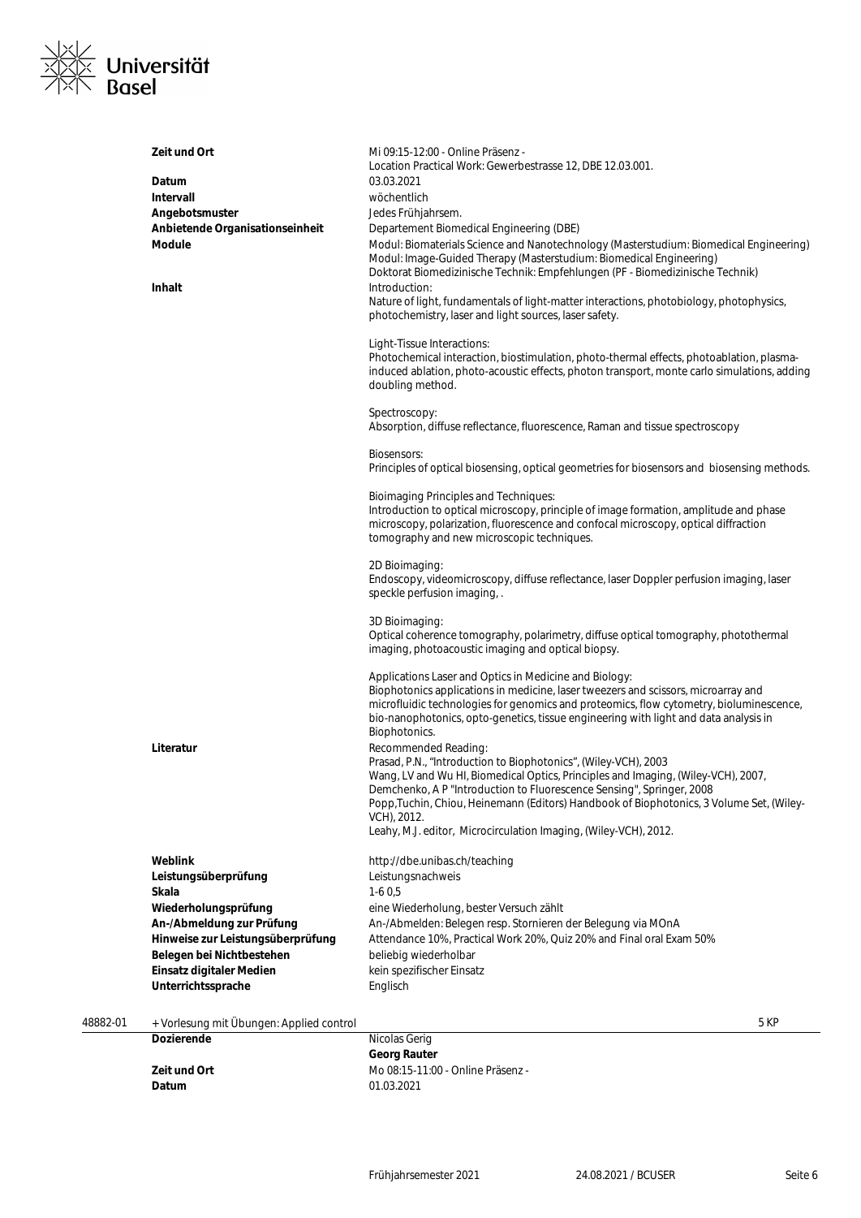

| <b>Weblink</b><br>Leistungsüberprüfung<br>Skala<br>Wiederholungsprüfung<br>An-/Abmeldung zur Prüfung<br>Hinweise zur Leistungsüberprüfung<br>Belegen bei Nichtbestehen<br>Einsatz digitaler Medien | Demchenko, A P "Introduction to Fluorescence Sensing", Springer, 2008<br>Popp, Tuchin, Chiou, Heinemann (Editors) Handbook of Biophotonics, 3 Volume Set, (Wiley-<br>VCH), 2012.<br>Leahy, M.J. editor, Microcirculation Imaging, (Wiley-VCH), 2012.<br>http://dbe.unibas.ch/teaching<br>Leistungsnachweis<br>$1-60,5$<br>eine Wiederholung, bester Versuch zählt<br>An-/Abmelden: Belegen resp. Stornieren der Belegung via MOnA<br>Attendance 10%, Practical Work 20%, Quiz 20% and Final oral Exam 50%<br>beliebig wiederholbar<br>kein spezifischer Einsatz                                                                                      |
|----------------------------------------------------------------------------------------------------------------------------------------------------------------------------------------------------|------------------------------------------------------------------------------------------------------------------------------------------------------------------------------------------------------------------------------------------------------------------------------------------------------------------------------------------------------------------------------------------------------------------------------------------------------------------------------------------------------------------------------------------------------------------------------------------------------------------------------------------------------|
|                                                                                                                                                                                                    |                                                                                                                                                                                                                                                                                                                                                                                                                                                                                                                                                                                                                                                      |
|                                                                                                                                                                                                    |                                                                                                                                                                                                                                                                                                                                                                                                                                                                                                                                                                                                                                                      |
| Literatur                                                                                                                                                                                          | Applications Laser and Optics in Medicine and Biology:<br>Biophotonics applications in medicine, laser tweezers and scissors, microarray and<br>microfluidic technologies for genomics and proteomics, flow cytometry, bioluminescence,<br>bio-nanophotonics, opto-genetics, tissue engineering with light and data analysis in<br>Biophotonics.<br>Recommended Reading:<br>Prasad, P.N., "Introduction to Biophotonics", (Wiley-VCH), 2003<br>Wang, LV and Wu HI, Biomedical Optics, Principles and Imaging, (Wiley-VCH), 2007,                                                                                                                     |
|                                                                                                                                                                                                    | 2D Bioimaging:<br>Endoscopy, videomicroscopy, diffuse reflectance, laser Doppler perfusion imaging, laser<br>speckle perfusion imaging,.<br>3D Bioimaging:<br>Optical coherence tomography, polarimetry, diffuse optical tomography, photothermal<br>imaging, photoacoustic imaging and optical biopsy.                                                                                                                                                                                                                                                                                                                                              |
|                                                                                                                                                                                                    | Principles of optical biosensing, optical geometries for biosensors and biosensing methods.<br><b>Bioimaging Principles and Techniques:</b><br>Introduction to optical microscopy, principle of image formation, amplitude and phase<br>microscopy, polarization, fluorescence and confocal microscopy, optical diffraction<br>tomography and new microscopic techniques.                                                                                                                                                                                                                                                                            |
|                                                                                                                                                                                                    | Photochemical interaction, biostimulation, photo-thermal effects, photoablation, plasma-<br>induced ablation, photo-acoustic effects, photon transport, monte carlo simulations, adding<br>doubling method.<br>Spectroscopy:<br>Absorption, diffuse reflectance, fluorescence, Raman and tissue spectroscopy<br><b>Biosensors:</b>                                                                                                                                                                                                                                                                                                                   |
| Zeit und Ort<br>Datum<br>Intervall<br>Angebotsmuster<br>Anbietende Organisationseinheit<br><b>Module</b><br>Inhalt                                                                                 | Mi 09:15-12:00 - Online Präsenz -<br>Location Practical Work: Gewerbestrasse 12, DBE 12.03.001.<br>03.03.2021<br>wöchentlich<br>Jedes Frühjahrsem.<br>Departement Biomedical Engineering (DBE)<br>Modul: Biomaterials Science and Nanotechnology (Masterstudium: Biomedical Engineering)<br>Modul: Image-Guided Therapy (Masterstudium: Biomedical Engineering)<br>Doktorat Biomedizinische Technik: Empfehlungen (PF - Biomedizinische Technik)<br>Introduction:<br>Nature of light, fundamentals of light-matter interactions, photobiology, photophysics,<br>photochemistry, laser and light sources, laser safety.<br>Light-Tissue Interactions: |

**Datum** 01.03.2021

**Zeit und Ort** Mo 08:15-11:00 - Online Präsenz - Datum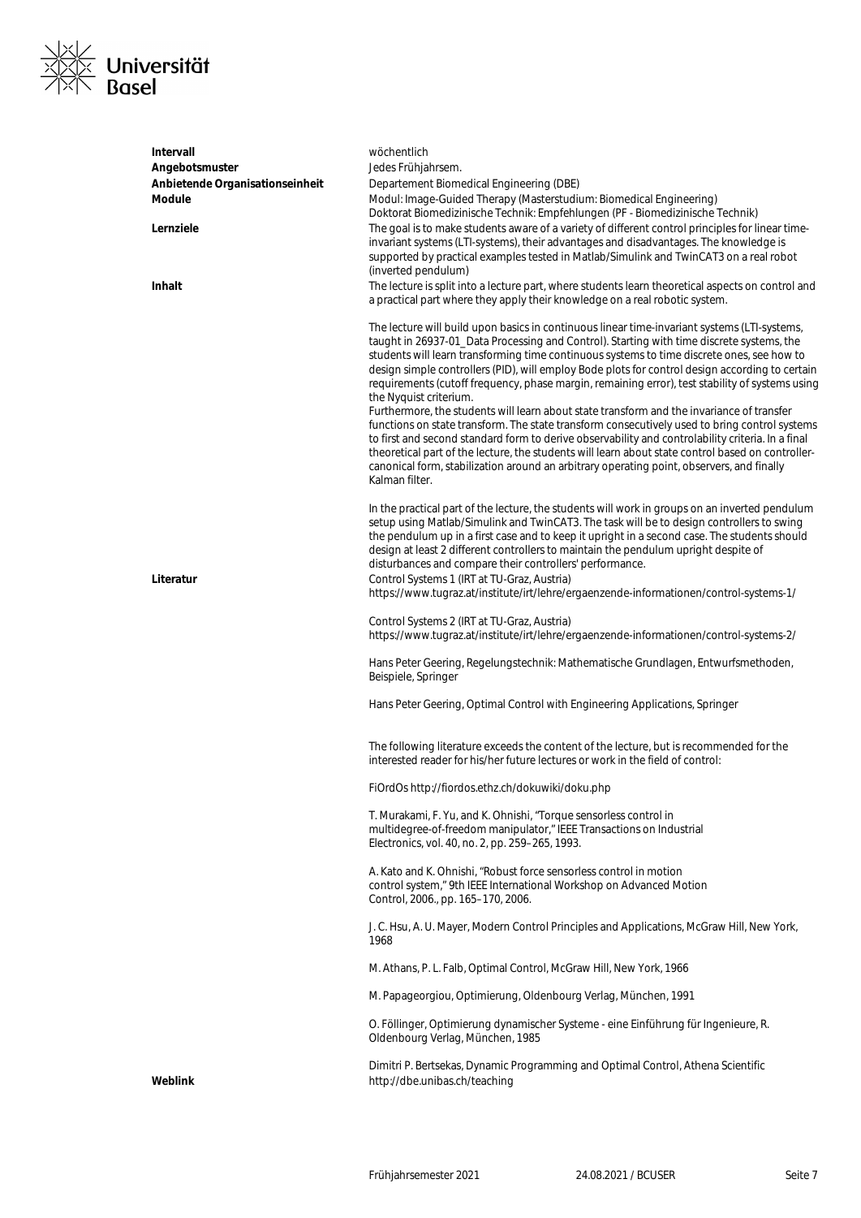

| <b>Intervall</b>                | wöchentlich                                                                                                                                                                                                                                                                                                                                                                                                                                                                                                                                                                                                                                                                                                                                                                                                                                                                                                                                                                                                                  |
|---------------------------------|------------------------------------------------------------------------------------------------------------------------------------------------------------------------------------------------------------------------------------------------------------------------------------------------------------------------------------------------------------------------------------------------------------------------------------------------------------------------------------------------------------------------------------------------------------------------------------------------------------------------------------------------------------------------------------------------------------------------------------------------------------------------------------------------------------------------------------------------------------------------------------------------------------------------------------------------------------------------------------------------------------------------------|
| Angebotsmuster                  | Jedes Frühjahrsem.                                                                                                                                                                                                                                                                                                                                                                                                                                                                                                                                                                                                                                                                                                                                                                                                                                                                                                                                                                                                           |
| Anbietende Organisationseinheit | Departement Biomedical Engineering (DBE)                                                                                                                                                                                                                                                                                                                                                                                                                                                                                                                                                                                                                                                                                                                                                                                                                                                                                                                                                                                     |
| Module                          | Modul: Image-Guided Therapy (Masterstudium: Biomedical Engineering)<br>Doktorat Biomedizinische Technik: Empfehlungen (PF - Biomedizinische Technik)                                                                                                                                                                                                                                                                                                                                                                                                                                                                                                                                                                                                                                                                                                                                                                                                                                                                         |
| Lernziele                       | The goal is to make students aware of a variety of different control principles for linear time-<br>invariant systems (LTI-systems), their advantages and disadvantages. The knowledge is                                                                                                                                                                                                                                                                                                                                                                                                                                                                                                                                                                                                                                                                                                                                                                                                                                    |
|                                 | supported by practical examples tested in Matlab/Simulink and TwinCAT3 on a real robot                                                                                                                                                                                                                                                                                                                                                                                                                                                                                                                                                                                                                                                                                                                                                                                                                                                                                                                                       |
|                                 | (inverted pendulum)                                                                                                                                                                                                                                                                                                                                                                                                                                                                                                                                                                                                                                                                                                                                                                                                                                                                                                                                                                                                          |
| Inhalt                          | The lecture is split into a lecture part, where students learn theoretical aspects on control and<br>a practical part where they apply their knowledge on a real robotic system.                                                                                                                                                                                                                                                                                                                                                                                                                                                                                                                                                                                                                                                                                                                                                                                                                                             |
|                                 | The lecture will build upon basics in continuous linear time-invariant systems (LTI-systems,<br>taught in 26937-01_Data Processing and Control). Starting with time discrete systems, the<br>students will learn transforming time continuous systems to time discrete ones, see how to<br>design simple controllers (PID), will employ Bode plots for control design according to certain<br>requirements (cutoff frequency, phase margin, remaining error), test stability of systems using<br>the Nyquist criterium.<br>Furthermore, the students will learn about state transform and the invariance of transfer<br>functions on state transform. The state transform consecutively used to bring control systems<br>to first and second standard form to derive observability and controlability criteria. In a final<br>theoretical part of the lecture, the students will learn about state control based on controller-<br>canonical form, stabilization around an arbitrary operating point, observers, and finally |
|                                 | Kalman filter.                                                                                                                                                                                                                                                                                                                                                                                                                                                                                                                                                                                                                                                                                                                                                                                                                                                                                                                                                                                                               |
|                                 | In the practical part of the lecture, the students will work in groups on an inverted pendulum<br>setup using Matlab/Simulink and TwinCAT3. The task will be to design controllers to swing<br>the pendulum up in a first case and to keep it upright in a second case. The students should<br>design at least 2 different controllers to maintain the pendulum upright despite of<br>disturbances and compare their controllers' performance.                                                                                                                                                                                                                                                                                                                                                                                                                                                                                                                                                                               |
| Literatur                       | Control Systems 1 (IRT at TU-Graz, Austria)                                                                                                                                                                                                                                                                                                                                                                                                                                                                                                                                                                                                                                                                                                                                                                                                                                                                                                                                                                                  |
|                                 | https://www.tugraz.at/institute/irt/lehre/ergaenzende-informationen/control-systems-1/                                                                                                                                                                                                                                                                                                                                                                                                                                                                                                                                                                                                                                                                                                                                                                                                                                                                                                                                       |
|                                 | Control Systems 2 (IRT at TU-Graz, Austria)<br>https://www.tugraz.at/institute/irt/lehre/ergaenzende-informationen/control-systems-2/                                                                                                                                                                                                                                                                                                                                                                                                                                                                                                                                                                                                                                                                                                                                                                                                                                                                                        |
|                                 | Hans Peter Geering, Regelungstechnik: Mathematische Grundlagen, Entwurfsmethoden,<br>Beispiele, Springer                                                                                                                                                                                                                                                                                                                                                                                                                                                                                                                                                                                                                                                                                                                                                                                                                                                                                                                     |
|                                 | Hans Peter Geering, Optimal Control with Engineering Applications, Springer                                                                                                                                                                                                                                                                                                                                                                                                                                                                                                                                                                                                                                                                                                                                                                                                                                                                                                                                                  |
|                                 | The following literature exceeds the content of the lecture, but is recommended for the<br>interested reader for his/her future lectures or work in the field of control:                                                                                                                                                                                                                                                                                                                                                                                                                                                                                                                                                                                                                                                                                                                                                                                                                                                    |
|                                 | FiOrdOs http://fiordos.ethz.ch/dokuwiki/doku.php                                                                                                                                                                                                                                                                                                                                                                                                                                                                                                                                                                                                                                                                                                                                                                                                                                                                                                                                                                             |
|                                 | T. Murakami, F. Yu, and K. Ohnishi, "Torque sensorless control in<br>multidegree-of-freedom manipulator," IEEE Transactions on Industrial<br>Electronics, vol. 40, no. 2, pp. 259-265, 1993.                                                                                                                                                                                                                                                                                                                                                                                                                                                                                                                                                                                                                                                                                                                                                                                                                                 |
|                                 | A. Kato and K. Ohnishi, "Robust force sensorless control in motion<br>control system," 9th IEEE International Workshop on Advanced Motion<br>Control, 2006., pp. 165-170, 2006.                                                                                                                                                                                                                                                                                                                                                                                                                                                                                                                                                                                                                                                                                                                                                                                                                                              |
|                                 | J. C. Hsu, A. U. Mayer, Modern Control Principles and Applications, McGraw Hill, New York,<br>1968                                                                                                                                                                                                                                                                                                                                                                                                                                                                                                                                                                                                                                                                                                                                                                                                                                                                                                                           |
|                                 | M. Athans, P. L. Falb, Optimal Control, McGraw Hill, New York, 1966                                                                                                                                                                                                                                                                                                                                                                                                                                                                                                                                                                                                                                                                                                                                                                                                                                                                                                                                                          |
|                                 | M. Papageorgiou, Optimierung, Oldenbourg Verlag, München, 1991                                                                                                                                                                                                                                                                                                                                                                                                                                                                                                                                                                                                                                                                                                                                                                                                                                                                                                                                                               |
|                                 | O. Föllinger, Optimierung dynamischer Systeme - eine Einführung für Ingenieure, R.<br>Oldenbourg Verlag, München, 1985                                                                                                                                                                                                                                                                                                                                                                                                                                                                                                                                                                                                                                                                                                                                                                                                                                                                                                       |
| Weblink                         | Dimitri P. Bertsekas, Dynamic Programming and Optimal Control, Athena Scientific<br>http://dbe.unibas.ch/teaching                                                                                                                                                                                                                                                                                                                                                                                                                                                                                                                                                                                                                                                                                                                                                                                                                                                                                                            |
|                                 |                                                                                                                                                                                                                                                                                                                                                                                                                                                                                                                                                                                                                                                                                                                                                                                                                                                                                                                                                                                                                              |